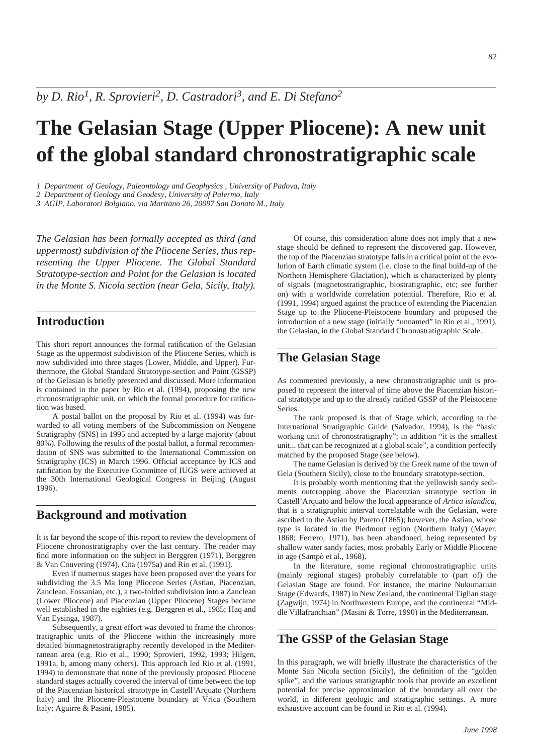*by D. Rio1, R. Sprovieri2, D. Castradori3, and E. Di Stefano2*

# **The Gelasian Stage (Upper Pliocene): A new unit of the global standard chronostratigraphic scale**

*1 Department of Geology, Paleontology and Geophysics , University of Padova, Italy*

*2 Department of Geology and Geodesy, University of Palermo, Italy*

*3 AGIP, Laboratori Bolgiano, via Maritano 26, 20097 San Donato M., Italy*

*The Gelasian has been formally accepted as third (and uppermost) subdivision of the Pliocene Series, thus representing the Upper Pliocene. The Global Standard Stratotype-section and Point for the Gelasian is located in the Monte S. Nicola section (near Gela, Sicily, Italy).*

## **Introduction**

This short report announces the formal ratification of the Gelasian Stage as the uppermost subdivision of the Pliocene Series, which is now subdivided into three stages (Lower, Middle, and Upper). Furthermore, the Global Standard Stratotype-section and Point (GSSP) of the Gelasian is briefly presented and discussed. More information is contained in the paper by Rio et al. (1994), proposing the new chronostratigraphic unit, on which the formal procedure for ratification was based.

A postal ballot on the proposal by Rio et al. (1994) was forwarded to all voting members of the Subcommission on Neogene Stratigraphy (SNS) in 1995 and accepted by a large majority (about 80%). Following the results of the postal ballot, a formal recommendation of SNS was submitted to the International Commission on Stratigraphy (ICS) in March 1996. Official acceptance by ICS and ratification by the Executive Committee of IUGS were achieved at the 30th International Geological Congress in Beijing (August 1996).

# **Background and motivation**

It is far beyond the scope of this report to review the development of Pliocene chronostratigraphy over the last century. The reader may find more information on the subject in Berggren (1971), Berggren & Van Couvering (1974), Cita (1975a) and Rio et al. (1991).

Even if numerous stages have been proposed over the years for subdividing the 3.5 Ma long Pliocene Series (Astian, Piacenzian, Zanclean, Fossanian, etc.), a two-folded subdivision into a Zanclean (Lower Pliocene) and Piacenzian (Upper Pliocene) Stages became well established in the eighties (e.g. Berggren et al., 1985; Haq and Van Eysinga, 1987).

Subsequently, a great effort was devoted to frame the chronostratigraphic units of the Pliocene within the increasingly more detailed biomagnetostratigraphy recently developed in the Mediterranean area (e.g. Rio et al., 1990; Sprovieri, 1992, 1993; Hilgen, 1991a, b, among many others). This approach led Rio et al. (1991, 1994) to demonstrate that none of the previously proposed Pliocene standard stages actually covered the interval of time between the top of the Piacenzian historical stratotype in Castell'Arquato (Northern Italy) and the Pliocene-Pleistocene boundary at Vrica (Southern Italy; Aguirre & Pasini, 1985).

Of course, this consideration alone does not imply that a new stage should be defined to represent the discovered gap. However, the top of the Piacenzian stratotype falls in a critical point of the evolution of Earth climatic system (i.e. close to the final build-up of the Northern Hemisphere Glaciation), which is characterized by plenty of signals (magnetostratigraphic, biostratigraphic, etc; see further on) with a worldwide correlation potential. Therefore, Rio et al. (1991, 1994) argued against the practice of extending the Piacenzian Stage up to the Pliocene-Pleistocene boundary and proposed the introduction of a new stage (initially "unnamed" in Rio et al., 1991), the Gelasian, in the Global Standard Chronostratigraphic Scale.

# **The Gelasian Stage**

As commented previously, a new chronostratigraphic unit is proposed to represent the interval of time above the Piacenzian historical stratotype and up to the already ratified GSSP of the Pleistocene Series.

The rank proposed is that of Stage which, according to the International Stratigraphic Guide (Salvador, 1994), is the "basic working unit of chronostratigraphy"; in addition "it is the smallest unit... that can be recognized at a global scale", a condition perfectly matched by the proposed Stage (see below).

The name Gelasian is derived by the Greek name of the town of Gela (Southern Sicily), close to the boundary stratotype-section.

It is probably worth mentioning that the yellowish sandy sediments outcropping above the Piacenzian stratotype section in Castell'Arquato and below the local appearance of *Artica islandica*, that is a stratigraphic interval correlatable with the Gelasian, were ascribed to the Astian by Pareto (1865); however, the Astian, whose type is located in the Piedmont region (Northern Italy) (Mayer, 1868; Ferrero, 1971), has been abandoned, being represented by shallow water sandy facies, most probably Early or Middle Pliocene in age (Sampò et al., 1968).

In the literature, some regional chronostratigraphic units (mainly regional stages) probably correlatable to (part of) the Gelasian Stage are found. For instance, the marine Nukumaruan Stage (Edwards, 1987) in New Zealand, the continental Tiglian stage (Zagwijn, 1974) in Northwestern Europe, and the continental "Middle Villafranchian" (Masini & Torre, 1990) in the Mediterranean.

## **The GSSP of the Gelasian Stage**

In this paragraph, we will briefly illustrate the characteristics of the Monte San Nicola section (Sicily), the definition of the "golden spike", and the various stratigraphic tools that provide an excellent potential for precise approximation of the boundary all over the world, in different geologic and stratigraphic settings. A more exhaustive account can be found in Rio et al. (1994).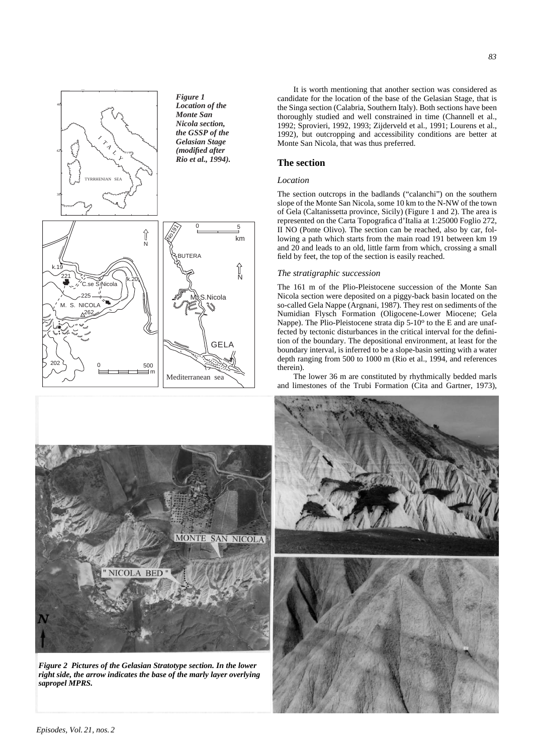



*Figure 2 Pictures of the Gelasian Stratotype section. In the lower right side, the arrow indicates the base of the marly layer overlying sapropel MPRS.*

It is worth mentioning that another section was considered as candidate for the location of the base of the Gelasian Stage, that is the Singa section (Calabria, Southern Italy). Both sections have been thoroughly studied and well constrained in time (Channell et al., 1992; Sprovieri, 1992, 1993; Zijderveld et al., 1991; Lourens et al., 1992), but outcropping and accessibility conditions are better at Monte San Nicola, that was thus preferred.

## **The section**

## *Location*

The section outcrops in the badlands ("calanchi") on the southern slope of the Monte San Nicola, some 10 km to the N-NW of the town of Gela (Caltanissetta province, Sicily) (Figure 1 and 2). The area is represented on the Carta Topografica d'Italia at 1:25000 Foglio 272, II NO (Ponte Olivo). The section can be reached, also by car, following a path which starts from the main road 191 between km 19 and 20 and leads to an old, little farm from which, crossing a small field by feet, the top of the section is easily reached.

#### *The stratigraphic succession*

The 161 m of the Plio-Pleistocene succession of the Monte San Nicola section were deposited on a piggy-back basin located on the so-called Gela Nappe (Argnani, 1987). They rest on sediments of the Numidian Flysch Formation (Oligocene-Lower Miocene; Gela Nappe). The Plio-Pleistocene strata dip 5-10<sup>o</sup> to the E and are unaffected by tectonic disturbances in the critical interval for the definition of the boundary. The depositional environment, at least for the boundary interval, is inferred to be a slope-basin setting with a water depth ranging from 500 to 1000 m (Rio et al., 1994, and references therein).

The lower 36 m are constituted by rhythmically bedded marls and limestones of the Trubi Formation (Cita and Gartner, 1973),

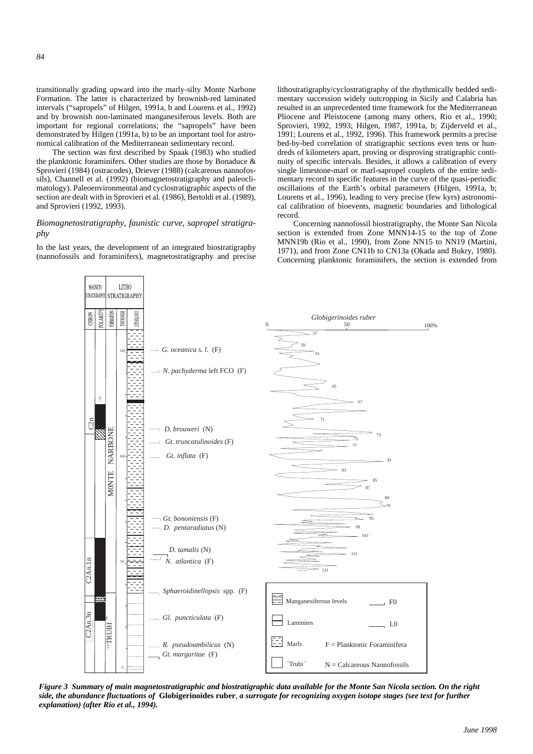transitionally grading upward into the marly-silty Monte Narbone Formation. The latter is characterized by brownish-red laminated intervals ("sapropels" of Hilgen, 1991a, b and Lourens et al., 1992) and by brownish non-laminated manganesiferous levels. Both are important for regional correlations; the "sapropels" have been demonstrated by Hilgen (1991a, b) to be an important tool for astronomical calibration of the Mediterranean sedimentary record.

The section was first described by Spaak (1983) who studied the planktonic foraminifers. Other studies are those by Bonaduce & Sprovieri (1984) (ostracodes), Driever (1988) (calcareous nannofossils), Channell et al. (1992) (biomagnetostratigraphy and paleoclimatology). Paleoenvironmental and cyclostratigraphic aspects of the section are dealt with in Sprovieri et al. (1986), Bertoldi et al. (1989), and Sprovieri (1992, 1993).

## *Biomagnetostratigraphy, faunistic curve, sapropel stratigraphy*

In the last years, the development of an integrated biostratigraphy (nannofossils and foraminifers), magnetostratigraphy and precise

**LITHO** 

STRATIGRAPHY

MAGNETO

**STRATIGRAPH** 

lithostratigraphy/cyclostratigraphy of the rhythmically bedded sedimentary succession widely outcropping in Sicily and Calabria has resulted in an unprecedented time framework for the Mediterranean Pliocene and Pleistocene (among many others, Rio et al., 1990; Sprovieri, 1992, 1993; Hilgen, 1987, 1991a, b; Zijderveld et al., 1991; Lourens et al., 1992, 1996). This framework permits a precise bed-by-bed correlation of stratigraphic sections even tens or hundreds of kilometers apart, proving or disproving stratigraphic continuity of specific intervals. Besides, it allows a calibration of every single limestone-marl or marl-sapropel couplets of the entire sedimentary record to specific features in the curve of the quasi-periodic oscillations of the Earth's orbital parameters (Hilgen, 1991a, b; Lourens et al., 1996), leading to very precise (few kyrs) astronomical calibration of bioevents, magnetic boundaries and lithological record.

Concerning nannofossil biostratigraphy, the Monte San Nicola section is extended from Zone MNN14-15 to the top of Zone MNN19b (Rio et al., 1990), from Zone NN15 to NN19 (Martini, 1971), and from Zone CN11b to CN13a (Okada and Bukry, 1980). Concerning planktonic foraminifers, the section is extended from



*Figure 3 Summary of main magnetostratigraphic and biostratigraphic data available for the Monte San Nicola section. On the right side, the abundance fluctuations of* **Globigerinoides ruber**, *a surrogate for recognizing oxygen isotope stages (see text for further explanation) (after Rio et al., 1994).*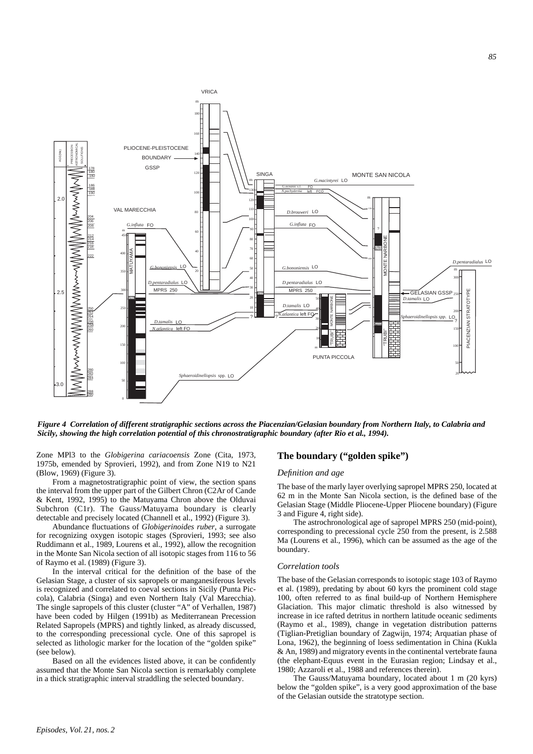

*Figure 4 Correlation of different stratigraphic sections across the Piacenzian/Gelasian boundary from Northern Italy, to Calabria and Sicily, showing the high correlation potential of this chronostratigraphic boundary (after Rio et al., 1994).*

Zone MPl3 to the *Globigerina cariacoensis* Zone (Cita, 1973, 1975b, emended by Sprovieri, 1992), and from Zone N19 to N21 (Blow, 1969) (Figure 3).

From a magnetostratigraphic point of view, the section spans the interval from the upper part of the Gilbert Chron (C2Ar of Cande & Kent, 1992, 1995) to the Matuyama Chron above the Olduvai Subchron (C1r). The Gauss/Matuyama boundary is clearly detectable and precisely located (Channell et al., 1992) (Figure 3).

Abundance fluctuations of *Globigerinoides ruber*, a surrogate for recognizing oxygen isotopic stages (Sprovieri, 1993; see also Ruddimann et al., 1989, Lourens et al., 1992), allow the recognition in the Monte San Nicola section of all isotopic stages from 116 to 56 of Raymo et al. (1989) (Figure 3).

In the interval critical for the definition of the base of the Gelasian Stage, a cluster of six sapropels or manganesiferous levels is recognized and correlated to coeval sections in Sicily (Punta Piccola), Calabria (Singa) and even Northern Italy (Val Marecchia). The single sapropels of this cluster (cluster "A" of Verhallen, 1987) have been coded by Hilgen (1991b) as Mediterranean Precession Related Sapropels (MPRS) and tightly linked, as already discussed, to the corresponding precessional cycle. One of this sapropel is selected as lithologic marker for the location of the "golden spike" (see below).

Based on all the evidences listed above, it can be confidently assumed that the Monte San Nicola section is remarkably complete in a thick stratigraphic interval straddling the selected boundary.

## **The boundary ("golden spike")**

#### *Definition and age*

The base of the marly layer overlying sapropel MPRS 250, located at 62 m in the Monte San Nicola section, is the defined base of the Gelasian Stage (Middle Pliocene-Upper Pliocene boundary) (Figure 3 and Figure 4, right side).

The astrochronological age of sapropel MPRS 250 (mid-point), corresponding to precessional cycle 250 from the present, is 2.588 Ma (Lourens et al., 1996), which can be assumed as the age of the boundary.

#### *Correlation tools*

The base of the Gelasian corresponds to isotopic stage 103 of Raymo et al. (1989), predating by about 60 kyrs the prominent cold stage 100, often referred to as final build-up of Northern Hemisphere Glaciation. This major climatic threshold is also witnessed by increase in ice rafted detritus in northern latitude oceanic sediments (Raymo et al., 1989), change in vegetation distribution patterns (Tiglian-Pretiglian boundary of Zagwijn, 1974; Arquatian phase of Lona, 1962), the beginning of loess sedimentation in China (Kukla & An, 1989) and migratory events in the continental vertebrate fauna (the elephant-Equus event in the Eurasian region; Lindsay et al., 1980; Azzaroli et al., 1988 and references therein).

The Gauss/Matuyama boundary, located about 1 m (20 kyrs) below the "golden spike", is a very good approximation of the base of the Gelasian outside the stratotype section.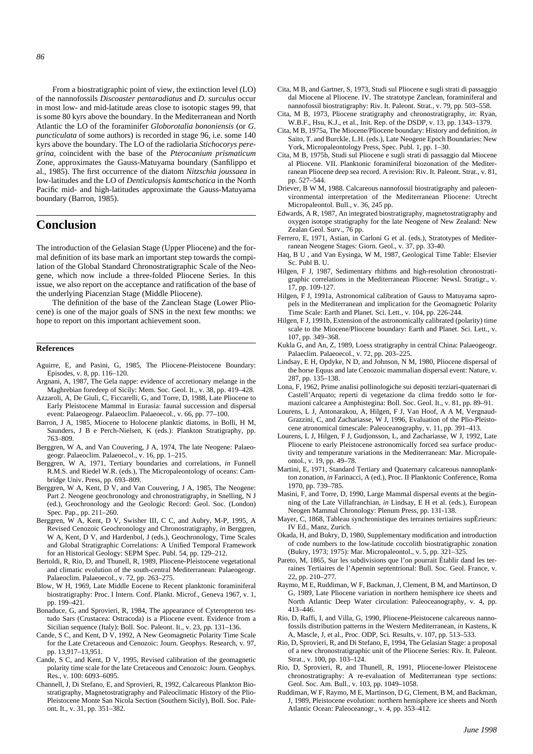From a biostratigraphic point of view, the extinction level (LO) of the nannofossils *Discoaster pentaradiatus* and *D. surculus* occur in most low- and mid-latitude areas close to isotopic stages 99, that is some 80 kyrs above the boundary. In the Mediterranean and North Atlantic the LO of the foraminifer *Globorotalia bononiensis* (or *G*. *puncticulata* of some authors) is recorded in stage 96, i.e. some 140 kyrs above the boundary. The LO of the radiolaria *Stichocorys peregrina*, coincident with the base of the *Pterocanium prismaticum* Zone, approximates the Gauss-Matuyama boundary (Sanfilippo et al., 1985). The first occurrence of the diatom *Nitzschia joussaea* in low-latitudes and the LO of *Denticulopsis kamtschatica* in the North Pacific mid- and high-latitudes approximate the Gauss-Matuyama boundary (Barron, 1985).

# **Conclusion**

The introduction of the Gelasian Stage (Upper Pliocene) and the formal definition of its base mark an important step towards the compilation of the Global Standard Chronostratigraphic Scale of the Neogene, which now include a three-folded Pliocene Series. In this issue, we also report on the acceptance and ratification of the base of the underlying Piacenzian Stage (Middle Pliocene).

The definition of the base of the Zanclean Stage (Lower Pliocene) is one of the major goals of SNS in the next few months: we hope to report on this important achievement soon.

#### **References**

- Aguirre, E, and Pasini, G, 1985, The Pliocene-Pleistocene Boundary: Episodes, v. 8, pp. 116–120.
- Argnani, A, 1987, The Gela nappe: evidence of accretionary melange in the Maghrebian foredeep of Sicily: Mem. Soc. Geol. It., v. 38, pp. 419–428.
- Azzaroli, A, De Giuli, C, Ficcarelli, G, and Torre, D, 1988, Late Pliocene to Early Pleistocene Mammal in Eurasia: faunal succession and dispersal event: Palaeogeogr. Palaeoclim. Palaeoecol., v. 66, pp. 77–100.
- Barron, J A, 1985, Miocene to Holocene planktic diatoms, in Bolli, H M, Saunders, J B e Perch-Nielsen, K (eds.): Plankton Stratigraphy, pp. 763–809.
- Berggren, W A, and Van Couvering, J A, 1974, The late Neogene: Palaeogeogr. Palaeoclim. Palaeoecol., v. 16, pp. 1–215.
- Berggren, W A, 1971, Tertiary boundaries and correlations, *in* Funnell R.M.S. and Riedel W.R. (eds.), The Micropaleontology of oceans: Cambridge Univ. Press, pp. 693–809.
- Berggren, W A, Kent, D V, and Van Couvering, J A, 1985, The Neogene: Part 2. Neogene geochronology and chronostratigraphy, *in* Snelling, N J (ed.), Geochronology and the Geologic Record: Geol. Soc. (London) Spec. Pap., pp. 211–260.
- Berggren, W A, Kent, D V, Swisher III, C C, and Aubry, M-P, 1995, A Revised Cenozoic Geochronology and Chronostratigraphy, *in* Berggren, W A, Kent, D V, and Hardenbol, J (eds.), Geochronology, Time Scales and Global Stratigraphic Correlations: A Unified Temporal Framework for an Historical Geology: SEPM Spec. Publ. 54, pp. 129–212.
- Bertoldi, R, Rio, D, and Thunell, R, 1989, Pliocene-Pleistocene vegetational and climatic evolution of the south-central Mediterranean: Palaeogeogr. Palaeoclim. Palaeoecol., v. 72, pp. 263-275.
- Blow, W H, 1969, Late Middle Eocene to Recent planktonic foraminiferal biostratigraphy: Proc. I Intern. Conf. Plankt. Microf., Geneva 1967, v. 1, pp. 199–421.
- Bonaduce, G, and Sprovieri, R, 1984, The appearance of Cyteropteron testudo Sars (Crustacea: Ostracoda) is a Pliocene event. Evidence from a Sicilian sequence (Italy): Boll. Soc. Paleont. It., v. 23, pp. 131–136.
- Cande, S C, and Kent, D V, 1992, A New Geomagnetic Polarity Time Scale for the Late Cretaceous and Cenozoic: Journ. Geophys. Research, v. 97, pp. 13,917–13,951.
- Cande, S C, and Kent, D V, 1995, Revised calibration of the geomagnetic polarity time scale for the late Cretaceous and Cenozoic: Journ. Geophys. Res., v. 100: 6093–6095.
- Channell, J, Di Stefano, E, and Sprovieri, R, 1992, Calcareous Plankton Biostratigraphy, Magnetostratigraphy and Paleoclimatic History of the Plio-Pleistocene Monte San Nicola Section (Southern Sicily), Boll. Soc. Paleont. It., v. 31, pp. 351–382.
- Cita, M B, and Gartner, S, 1973, Studi sul Pliocene e sugli strati di passaggio dal Miocene al Pliocene. IV. The stratotype Zanclean, foraminiferal and nannofossil biostratigraphy: Riv. It. Paleont. Strat., v. 79, pp. 503–558.
- Cita, M B, 1973, Pliocene stratigraphy and chronostratigraphy, *in*: Ryan, W.B.F., Hsu, K.J., et al., Init. Rep. of the DSDP, v. 13, pp. 1343–1379.
- Cita, M B, 1975a, The Miocene/Pliocene boundary: History and definition, *in* Saito, T. and Burckle, L.H. (eds.), Late Neogene Epoch Boundaries: New York, Micropaleontology Press, Spec. Publ. 1, pp. 1–30.
- Cita, M B, 1975b, Studi sul Pliocene e sugli strati di passaggio dal Miocene al Pliocene. VII. Planktonic foraminiferal biozonation of the Mediterranean Pliocene deep sea record. A revision: Riv. It. Paleont. Strat., v. 81, pp. 527–544.
- Driever, B W M, 1988. Calcareous nannofossil biostratigraphy and paleoenvironmental interpretation of the Mediterranean Pliocene: Utrecht Micropaleontol. Bull., v. 36, 245 pp.
- Edwards, A R, 1987, An integrated biostratigraphy, magnetostratigraphy and oxygen isotope stratigraphy for the late Neogene of New Zealand: New Zealan Geol. Surv., 76 pp.
- Ferrero, E, 1971, Astian, in Carloni G et al. (eds.), Stratotypes of Mediterranean Neogene Stages: Giorn. Geol., v. 37, pp. 33-40.
- Haq, B U , and Van Eysinga, W M, 1987, Geological Time Table: Elsevier Sc. Publ B. U.
- Hilgen, F J, 1987, Sedimentary rhithms and high-resolution chronostratigraphic correlations in the Mediterranean Pliocene: Newsl. Stratigr., v. 17, pp. 109-127.
- Hilgen, F J, 1991a, Astronomical calibration of Gauss to Matuyama sapropels in the Mediterranean and implication for the Geomagnetic Polarity Time Scale: Earth and Planet. Sci. Lett., v. 104, pp. 226-244.
- Hilgen, F J, 1991b, Extension of the astronomically calibrated (polarity) time scale to the Miocene/Pliocene boundary: Earth and Planet. Sci. Lett., v. 107, pp. 349–368.
- Kukla G, and An, Z, 1989, Loess stratigraphy in central China: Palaeogeogr. Palaeclim. Palaeoecol., v. 72, pp. 203–225.
- Lindsay, E H, Opdyke, N D, and Johnson, N M, 1980, Pliocene dispersal of the horse Equus and late Cenozoic mammalian dispersal event: Nature, v. 287, pp. 135–138.
- Lona, F, 1962, Prime analisi pollinologiche sui depositi terziari-quaternari di Castell'Arquato; reperti di vegetazione da clima freddo sotto le formazioni calcaree a Amphistegina: Boll. Soc. Geol. It., v. 81, pp. 89–91.
- Lourens, L J, Antonarakou, A, Hilgen, F J, Van Hoof, A A M, Vergnaud-Grazzini, C, and Zachariasse, W J, 1996, Evaluation of the Plio-Pleistocene atronomical timescale: Paleoceanography, v. 11, pp. 391–413.
- Lourens, L J, Hilgen, F J, Gudjonsson, L, and Zachariasse, W J, 1992, Late Pliocene to early Pleistocene astronomically forced sea surface productivity and temperature variations in the Mediterranean: Mar. Micropaleontol., v. 19, pp. 49–78.
- Martini, E, 1971, Standard Tertiary and Quaternary calcareous nannoplankton zonation, *in* Farinacci, A (ed.), Proc. II Planktonic Conference, Roma 1970, pp. 739–785.
- Masini, F, and Torre, D, 1990, Large Mammal dispersal events at the beginning of the Late Villafranchian, *in* Lindsay, E H et al. (eds.), European Neogen Mammal Chronology: Plenum Press, pp. 131-138.
- Mayer, C, 1868, Tableau synchronistique des terraines tertiaires supÈrieurs: IV Ed., Manz, Zurich.
- Okada, H, and Bukry, D, 1980, Supplementary modification and introduction of code numbers to the low-latitude coccolith biostratigraphic zonation (Bukry, 1973; 1975): Mar. Micropaleontol., v. 5, pp. 321–325.
- Pareto, M, 1865, Sur les subdivisions que l'on pourrait Ètablir dand les terraines Tertiaires de l'Apennin septentrional: Bull. Soc. Geol. France, v. 22, pp. 210–277.
- Raymo, M E, Ruddiman, W F, Backman, J, Clement, B M, and Martinson, D G, 1989, Late Pliocene variation in northern hemisphere ice sheets and North Atlantic Deep Water circulation: Paleoceanography, v. 4, pp. 413–446.
- Rio, D, Raffi, I, and Villa, G, 1990, Pliocene-Pleistocene calcareous nannofossils distribution patterns in the Western Mediterranean, *in* Kastens, K A, Mascle, J, et al., Proc. ODP, Sci. Results, v. 107, pp. 513–533.
- Rio, D, Sprovieri, R, and Di Stefano, E, 1994, The Gelasian Stage: a proposal of a new chronostratigraphic unit of the Pliocene Series: Riv. It. Paleont. Strat., v. 100, pp. 103–124.
- Rio, D, Sprovieri, R, and Thunell, R, 1991, Pliocene-lower Pleistocene chronostratigraphy: A re-evaluation of Mediterranean type sections: Geol. Soc. Am. Bull., v. 103, pp. 1049–1058.
- Ruddiman, W F, Raymo, M E, Martinson, D G, Clement, B M, and Backman, J, 1989, Pleistocene evolution: northern hemisphere ice sheets and North Atlantic Ocean: Paleoceanogr., v. 4, pp. 353–412.